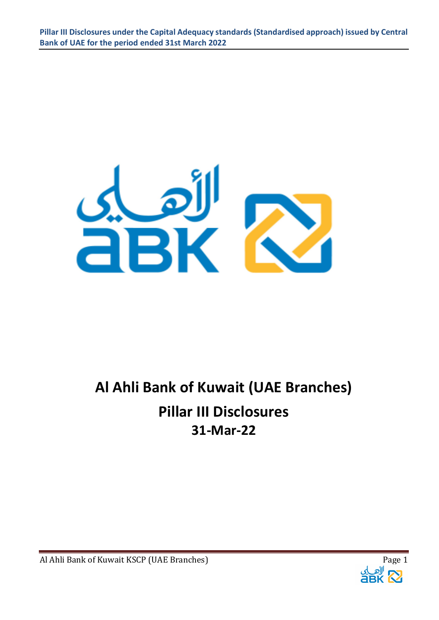

# **Al Ahli Bank of Kuwait (UAE Branches) Pillar III Disclosures 31-Mar-22**



Al Ahli Bank of Kuwait KSCP (UAE Branches) Page 1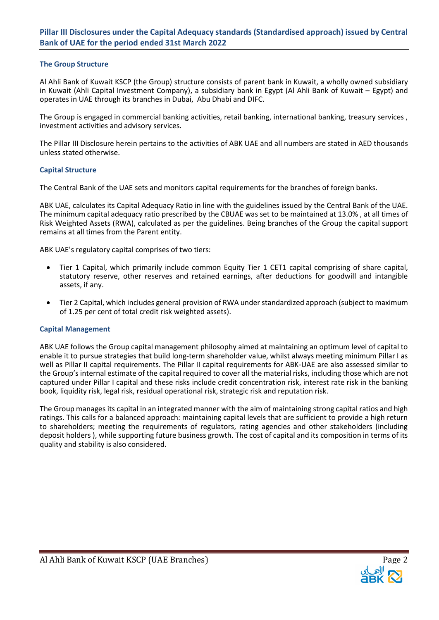#### **The Group Structure**

Al Ahli Bank of Kuwait KSCP (the Group) structure consists of parent bank in Kuwait, a wholly owned subsidiary in Kuwait (Ahli Capital Investment Company), a subsidiary bank in Egypt (Al Ahli Bank of Kuwait – Egypt) and operates in UAE through its branches in Dubai, Abu Dhabi and DIFC.

The Group is engaged in commercial banking activities, retail banking, international banking, treasury services , investment activities and advisory services.

The Pillar III Disclosure herein pertains to the activities of ABK UAE and all numbers are stated in AED thousands unless stated otherwise.

#### **Capital Structure**

The Central Bank of the UAE sets and monitors capital requirements for the branches of foreign banks.

ABK UAE, calculates its Capital Adequacy Ratio in line with the guidelines issued by the Central Bank of the UAE. The minimum capital adequacy ratio prescribed by the CBUAE was set to be maintained at 13.0% , at all times of Risk Weighted Assets (RWA), calculated as per the guidelines. Being branches of the Group the capital support remains at all times from the Parent entity.

ABK UAE's regulatory capital comprises of two tiers:

- Tier 1 Capital, which primarily include common Equity Tier 1 CET1 capital comprising of share capital, statutory reserve, other reserves and retained earnings, after deductions for goodwill and intangible assets, if any.
- Tier 2 Capital, which includes general provision of RWA under standardized approach (subject to maximum of 1.25 per cent of total credit risk weighted assets).

#### **Capital Management**

ABK UAE follows the Group capital management philosophy aimed at maintaining an optimum level of capital to enable it to pursue strategies that build long-term shareholder value, whilst always meeting minimum Pillar I as well as Pillar II capital requirements. The Pillar II capital requirements for ABK-UAE are also assessed similar to the Group's internal estimate of the capital required to cover all the material risks, including those which are not captured under Pillar I capital and these risks include credit concentration risk, interest rate risk in the banking book, liquidity risk, legal risk, residual operational risk, strategic risk and reputation risk.

The Group manages its capital in an integrated manner with the aim of maintaining strong capital ratios and high ratings. This calls for a balanced approach: maintaining capital levels that are sufficient to provide a high return to shareholders; meeting the requirements of regulators, rating agencies and other stakeholders (including deposit holders ), while supporting future business growth. The cost of capital and its composition in terms of its quality and stability is also considered.

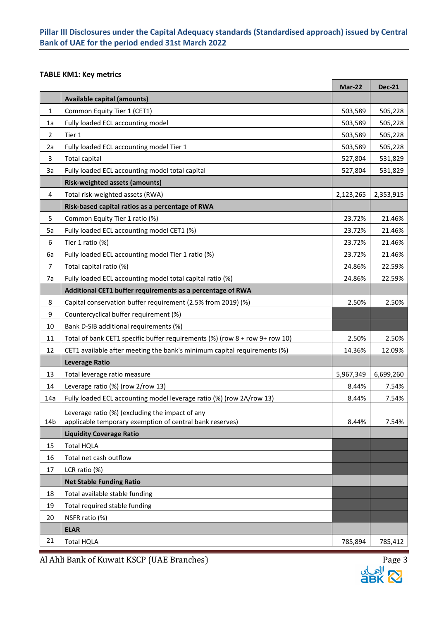## **TABLE KM1: Key metrics**

|                 |                                                                             | <b>Mar-22</b> | <b>Dec-21</b> |
|-----------------|-----------------------------------------------------------------------------|---------------|---------------|
|                 | <b>Available capital (amounts)</b>                                          |               |               |
| $\mathbf{1}$    | Common Equity Tier 1 (CET1)                                                 | 503,589       | 505,228       |
| 1a              | Fully loaded ECL accounting model                                           | 503,589       | 505,228       |
| $\overline{2}$  | Tier 1                                                                      | 503,589       | 505,228       |
| 2a              | Fully loaded ECL accounting model Tier 1                                    | 503,589       | 505,228       |
| 3               | <b>Total capital</b>                                                        | 527,804       | 531,829       |
| 3a              | Fully loaded ECL accounting model total capital                             | 527,804       | 531,829       |
|                 | <b>Risk-weighted assets (amounts)</b>                                       |               |               |
| 4               | Total risk-weighted assets (RWA)                                            | 2,123,265     | 2,353,915     |
|                 | Risk-based capital ratios as a percentage of RWA                            |               |               |
| 5               | Common Equity Tier 1 ratio (%)                                              | 23.72%        | 21.46%        |
| 5a              | Fully loaded ECL accounting model CET1 (%)                                  | 23.72%        | 21.46%        |
| 6               | Tier 1 ratio (%)                                                            | 23.72%        | 21.46%        |
| 6a              | Fully loaded ECL accounting model Tier 1 ratio (%)                          | 23.72%        | 21.46%        |
| 7               | Total capital ratio (%)                                                     | 24.86%        | 22.59%        |
| 7a              | Fully loaded ECL accounting model total capital ratio (%)                   | 24.86%        | 22.59%        |
|                 | Additional CET1 buffer requirements as a percentage of RWA                  |               |               |
| 8               | Capital conservation buffer requirement (2.5% from 2019) (%)                | 2.50%         | 2.50%         |
| 9               | Countercyclical buffer requirement (%)                                      |               |               |
| 10              | Bank D-SIB additional requirements (%)                                      |               |               |
| 11              | Total of bank CET1 specific buffer requirements (%) (row 8 + row 9+ row 10) | 2.50%         | 2.50%         |
| 12              | CET1 available after meeting the bank's minimum capital requirements (%)    | 14.36%        | 12.09%        |
|                 | <b>Leverage Ratio</b>                                                       |               |               |
| 13              | Total leverage ratio measure                                                | 5,967,349     | 6,699,260     |
| 14              | Leverage ratio (%) (row 2/row 13)                                           | 8.44%         | 7.54%         |
| 14a             | Fully loaded ECL accounting model leverage ratio (%) (row 2A/row 13)        | 8.44%         | 7.54%         |
|                 | Leverage ratio (%) (excluding the impact of any                             |               |               |
| 14 <sub>b</sub> | applicable temporary exemption of central bank reserves)                    | 8.44%         | 7.54%         |
|                 | <b>Liquidity Coverage Ratio</b>                                             |               |               |
| 15              | <b>Total HQLA</b>                                                           |               |               |
| 16              | Total net cash outflow                                                      |               |               |
| 17              | LCR ratio (%)                                                               |               |               |
|                 | <b>Net Stable Funding Ratio</b>                                             |               |               |
| 18              | Total available stable funding                                              |               |               |
| 19              | Total required stable funding                                               |               |               |
| 20              | NSFR ratio (%)                                                              |               |               |
|                 | <b>ELAR</b>                                                                 |               |               |
| 21              | <b>Total HQLA</b>                                                           | 785,894       | 785,412       |

Al Ahli Bank of Kuwait KSCP (UAE Branches) Page 3



h

 $\overline{\phantom{a}}$ 

Г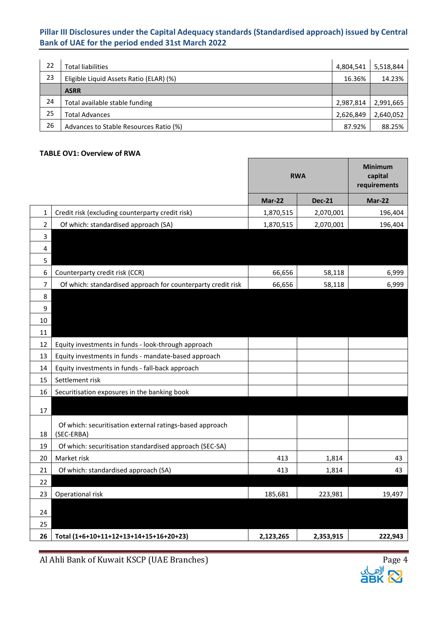| 22 | <b>Total liabilities</b>                | 4,804,541 | 5,518,844 |
|----|-----------------------------------------|-----------|-----------|
| 23 | Eligible Liquid Assets Ratio (ELAR) (%) | 16.36%    | 14.23%    |
|    | <b>ASRR</b>                             |           |           |
| 24 | Total available stable funding          | 2,987,814 | 2,991,665 |
| 25 | <b>Total Advances</b>                   | 2,626,849 | 2,640,052 |
| 26 | Advances to Stable Resources Ratio (%)  | 87.92%    | 88.25%    |

 $\overline{\phantom{a}}$ 

## **TABLE OV1: Overview of RWA**

|                |                                                                        | <b>RWA</b> |               | <b>Minimum</b><br>capital<br>requirements |
|----------------|------------------------------------------------------------------------|------------|---------------|-------------------------------------------|
|                |                                                                        | Mar-22     | <b>Dec-21</b> | Mar-22                                    |
| 1              | Credit risk (excluding counterparty credit risk)                       | 1,870,515  | 2,070,001     | 196,404                                   |
| $\overline{2}$ | Of which: standardised approach (SA)                                   | 1,870,515  | 2,070,001     | 196,404                                   |
| 3              |                                                                        |            |               |                                           |
| 4              |                                                                        |            |               |                                           |
| 5              |                                                                        |            |               |                                           |
| 6              | Counterparty credit risk (CCR)                                         | 66,656     | 58,118        | 6,999                                     |
| 7              | Of which: standardised approach for counterparty credit risk           | 66,656     | 58,118        | 6,999                                     |
| 8              |                                                                        |            |               |                                           |
| 9              |                                                                        |            |               |                                           |
| 10             |                                                                        |            |               |                                           |
| 11             |                                                                        |            |               |                                           |
| 12             | Equity investments in funds - look-through approach                    |            |               |                                           |
| 13<br>14       | Equity investments in funds - mandate-based approach                   |            |               |                                           |
| 15             | Equity investments in funds - fall-back approach<br>Settlement risk    |            |               |                                           |
| 16             | Securitisation exposures in the banking book                           |            |               |                                           |
|                |                                                                        |            |               |                                           |
| 17             |                                                                        |            |               |                                           |
| 18             | Of which: securitisation external ratings-based approach<br>(SEC-ERBA) |            |               |                                           |
| 19             | Of which: securitisation standardised approach (SEC-SA)                |            |               |                                           |
| 20             | Market risk                                                            | 413        | 1,814         | 43                                        |
| 21             | Of which: standardised approach (SA)                                   | 413        | 1,814         | 43                                        |
| 22             |                                                                        |            |               |                                           |
| 23             | Operational risk                                                       | 185,681    | 223,981       | 19,497                                    |
| 24             |                                                                        |            |               |                                           |
| 25             |                                                                        |            |               |                                           |
| 26             | Total (1+6+10+11+12+13+14+15+16+20+23)                                 | 2,123,265  | 2,353,915     | 222,943                                   |

Al Ahli Bank of Kuwait KSCP (UAE Branches) Page 4



h

T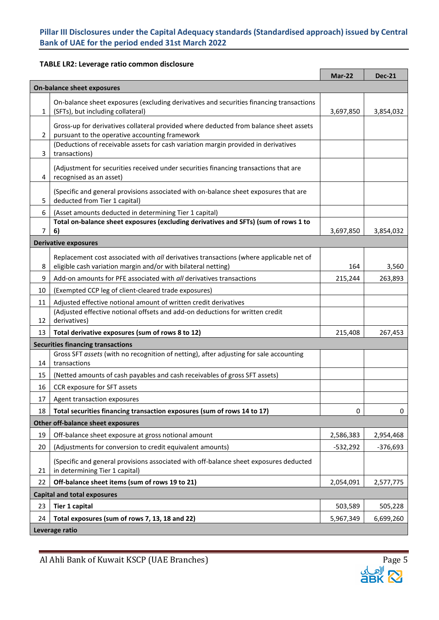Ē

## **TABLE LR2: Leverage ratio common disclosure**

|                                   |                                                                                                                                                         | Mar-22     | <b>Dec-21</b> |  |  |  |
|-----------------------------------|---------------------------------------------------------------------------------------------------------------------------------------------------------|------------|---------------|--|--|--|
| <b>On-balance sheet exposures</b> |                                                                                                                                                         |            |               |  |  |  |
| 1                                 | On-balance sheet exposures (excluding derivatives and securities financing transactions<br>(SFTs), but including collateral)                            | 3,697,850  | 3,854,032     |  |  |  |
| 2                                 | Gross-up for derivatives collateral provided where deducted from balance sheet assets<br>pursuant to the operative accounting framework                 |            |               |  |  |  |
| 3                                 | (Deductions of receivable assets for cash variation margin provided in derivatives<br>transactions)                                                     |            |               |  |  |  |
| 4                                 | (Adjustment for securities received under securities financing transactions that are<br>recognised as an asset)                                         |            |               |  |  |  |
| 5                                 | (Specific and general provisions associated with on-balance sheet exposures that are<br>deducted from Tier 1 capital)                                   |            |               |  |  |  |
| 6                                 | (Asset amounts deducted in determining Tier 1 capital)                                                                                                  |            |               |  |  |  |
|                                   | Total on-balance sheet exposures (excluding derivatives and SFTs) (sum of rows 1 to                                                                     |            |               |  |  |  |
| 7                                 | 6)                                                                                                                                                      | 3,697,850  | 3,854,032     |  |  |  |
|                                   | <b>Derivative exposures</b>                                                                                                                             |            |               |  |  |  |
| 8                                 | Replacement cost associated with all derivatives transactions (where applicable net of<br>eligible cash variation margin and/or with bilateral netting) | 164        | 3,560         |  |  |  |
| 9                                 | Add-on amounts for PFE associated with all derivatives transactions                                                                                     | 215,244    | 263,893       |  |  |  |
| 10                                | (Exempted CCP leg of client-cleared trade exposures)                                                                                                    |            |               |  |  |  |
| 11                                | Adjusted effective notional amount of written credit derivatives                                                                                        |            |               |  |  |  |
| 12                                | (Adjusted effective notional offsets and add-on deductions for written credit<br>derivatives)                                                           |            |               |  |  |  |
| 13                                | Total derivative exposures (sum of rows 8 to 12)                                                                                                        | 215,408    | 267,453       |  |  |  |
|                                   | <b>Securities financing transactions</b>                                                                                                                |            |               |  |  |  |
| 14                                | Gross SFT assets (with no recognition of netting), after adjusting for sale accounting<br>transactions                                                  |            |               |  |  |  |
| 15                                | (Netted amounts of cash payables and cash receivables of gross SFT assets)                                                                              |            |               |  |  |  |
| 16                                | CCR exposure for SFT assets                                                                                                                             |            |               |  |  |  |
| 17                                | Agent transaction exposures                                                                                                                             |            |               |  |  |  |
| 18                                | Total securities financing transaction exposures (sum of rows 14 to 17)                                                                                 | 0          | 0             |  |  |  |
|                                   | Other off-balance sheet exposures                                                                                                                       |            |               |  |  |  |
| 19                                | Off-balance sheet exposure at gross notional amount                                                                                                     | 2,586,383  | 2,954,468     |  |  |  |
| 20                                | (Adjustments for conversion to credit equivalent amounts)                                                                                               | $-532,292$ | $-376,693$    |  |  |  |
| 21                                | (Specific and general provisions associated with off-balance sheet exposures deducted<br>in determining Tier 1 capital)                                 |            |               |  |  |  |
| 22                                | Off-balance sheet items (sum of rows 19 to 21)                                                                                                          | 2,054,091  | 2,577,775     |  |  |  |
|                                   | <b>Capital and total exposures</b>                                                                                                                      |            |               |  |  |  |
| 23                                | Tier 1 capital                                                                                                                                          | 503,589    | 505,228       |  |  |  |
| 24                                | Total exposures (sum of rows 7, 13, 18 and 22)                                                                                                          | 5,967,349  | 6,699,260     |  |  |  |
|                                   | Leverage ratio                                                                                                                                          |            |               |  |  |  |

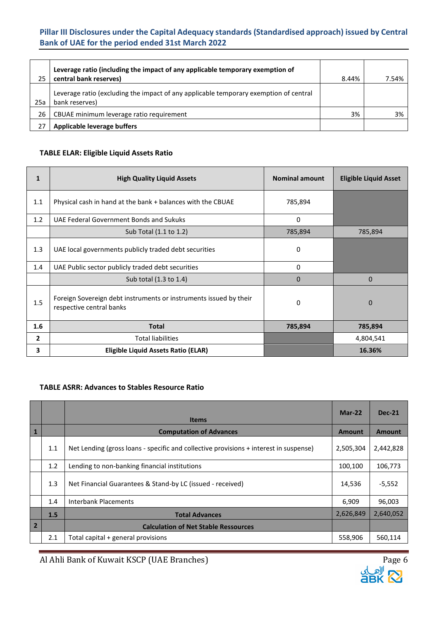| 25  | Leverage ratio (including the impact of any applicable temporary exemption of<br>central bank reserves) | 8.44% | 7.54% |
|-----|---------------------------------------------------------------------------------------------------------|-------|-------|
| 25a | Leverage ratio (excluding the impact of any applicable temporary exemption of central<br>bank reserves) |       |       |
| 26  | CBUAE minimum leverage ratio requirement                                                                | 3%    | 3%    |
|     | Applicable leverage buffers                                                                             |       |       |

### **TABLE ELAR: Eligible Liquid Assets Ratio**

| $\mathbf{1}$ | <b>High Quality Liquid Assets</b>                                                             | <b>Nominal amount</b> | <b>Eligible Liquid Asset</b> |
|--------------|-----------------------------------------------------------------------------------------------|-----------------------|------------------------------|
| 1.1          | Physical cash in hand at the bank + balances with the CBUAE                                   | 785,894               |                              |
| 1.2          | UAE Federal Government Bonds and Sukuks                                                       | 0                     |                              |
|              | Sub Total (1.1 to 1.2)                                                                        | 785,894               | 785,894                      |
| 1.3          | UAE local governments publicly traded debt securities                                         | 0                     |                              |
| 1.4          | UAE Public sector publicly traded debt securities                                             | 0                     |                              |
|              | Sub total (1.3 to 1.4)                                                                        | $\Omega$              | $\Omega$                     |
| 1.5          | Foreign Sovereign debt instruments or instruments issued by their<br>respective central banks | 0                     | $\mathbf 0$                  |
| 1.6          | <b>Total</b>                                                                                  | 785,894               | 785,894                      |
| $\mathbf{2}$ | <b>Total liabilities</b>                                                                      |                       | 4,804,541                    |
| 3            | Eligible Liquid Assets Ratio (ELAR)                                                           |                       | 16.36%                       |

#### **TABLE ASRR: Advances to Stables Resource Ratio**

|                |     | <b>Items</b>                                                                          | Mar-22    | <b>Dec-21</b> |
|----------------|-----|---------------------------------------------------------------------------------------|-----------|---------------|
| $\mathbf{1}$   |     | <b>Computation of Advances</b>                                                        | Amount    | Amount        |
|                | 1.1 | Net Lending (gross loans - specific and collective provisions + interest in suspense) | 2,505,304 | 2,442,828     |
|                | 1.2 | Lending to non-banking financial institutions                                         | 100,100   | 106,773       |
|                | 1.3 | Net Financial Guarantees & Stand-by LC (issued - received)                            | 14,536    | $-5,552$      |
|                | 1.4 | <b>Interbank Placements</b>                                                           | 6,909     | 96,003        |
|                | 1.5 | <b>Total Advances</b>                                                                 | 2,626,849 | 2,640,052     |
| $\overline{2}$ |     | <b>Calculation of Net Stable Ressources</b>                                           |           |               |
|                | 2.1 | Total capital + general provisions                                                    | 558,906   | 560,114       |

Al Ahli Bank of Kuwait KSCP (UAE Branches)<br>القطاعة المسابق المستخدمة بن المستخدمة بن المستخدمة بن المستخدمة بن المستخدمة بن المستخدمة بن المستخدمة بن ال<br>جمل المستخدمة المستخدمة المستخدمة المستخدمة المستخدمة المستخدمة المس